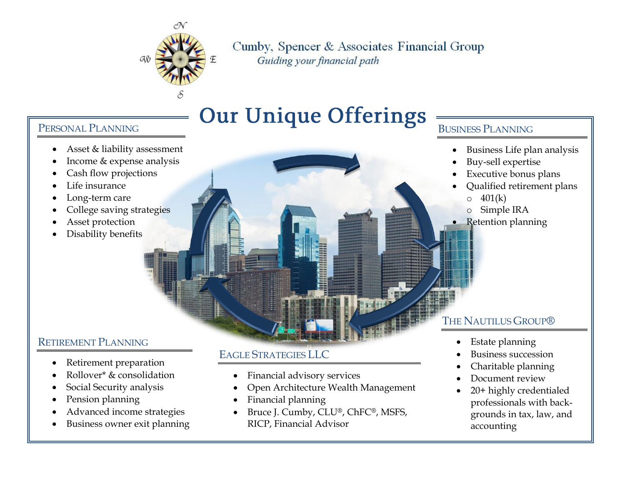

Cumby, Spencer & Associates Financial Group

Guiding your financial path

# **Our Unique Offerings**

### PERSONAL PLANNING

- Asset & liability assessment
- Income & expense analysis
- Cash flow projections
- Life insurance
- Long-term care
- College saving strategies
- Asset protection
- Disability benefits

## RETIREMENT PLANNING

- Retirement preparation
- Rollover\* & consolidation
- Social Security analysis
- Pension planning
- Advanced income strategies
- Business owner exit planning

## EAGLE STRATEGIES LLC

- Financial advisory services
- Open Architecture Wealth Management
- Financial planning
- Bruce J. Cumby, CLU®, ChFC®, MSFS, RICP, Financial Advisor

#### BUSINESS PLANNING

- Business Life plan analysis
- Buy-sell expertise
- Executive bonus plans
- Qualified retirement plans  $\circ$  401(k)
	- o Simple IRA
- Retention planning

## THE NAUTILUS GROUP®

- Estate planning
- Business succession
- Charitable planning
- Document review
- 20+ highly credentialed professionals with backgrounds in tax, law, and accounting